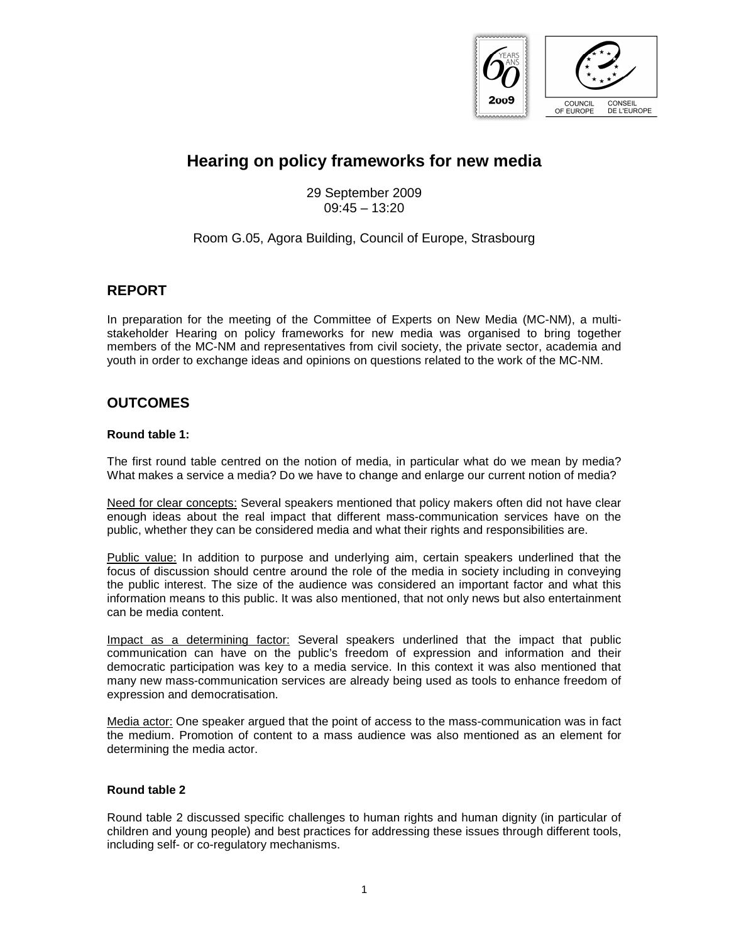

# **Hearing on policy frameworks for new media**

29 September 2009  $09.45 - 13.20$ 

#### Room G.05, Agora Building, Council of Europe, Strasbourg

### **REPORT**

In preparation for the meeting of the Committee of Experts on New Media (MC-NM), a multistakeholder Hearing on policy frameworks for new media was organised to bring together members of the MC-NM and representatives from civil society, the private sector, academia and youth in order to exchange ideas and opinions on questions related to the work of the MC-NM.

## **OUTCOMES**

#### **Round table 1:**

The first round table centred on the notion of media, in particular what do we mean by media? What makes a service a media? Do we have to change and enlarge our current notion of media?

Need for clear concepts: Several speakers mentioned that policy makers often did not have clear enough ideas about the real impact that different mass-communication services have on the public, whether they can be considered media and what their rights and responsibilities are.

Public value: In addition to purpose and underlying aim, certain speakers underlined that the focus of discussion should centre around the role of the media in society including in conveying the public interest. The size of the audience was considered an important factor and what this information means to this public. It was also mentioned, that not only news but also entertainment can be media content.

Impact as a determining factor: Several speakers underlined that the impact that public communication can have on the public's freedom of expression and information and their democratic participation was key to a media service. In this context it was also mentioned that many new mass-communication services are already being used as tools to enhance freedom of expression and democratisation.

Media actor: One speaker argued that the point of access to the mass-communication was in fact the medium. Promotion of content to a mass audience was also mentioned as an element for determining the media actor.

#### **Round table 2**

Round table 2 discussed specific challenges to human rights and human dignity (in particular of children and young people) and best practices for addressing these issues through different tools, including self- or co-regulatory mechanisms.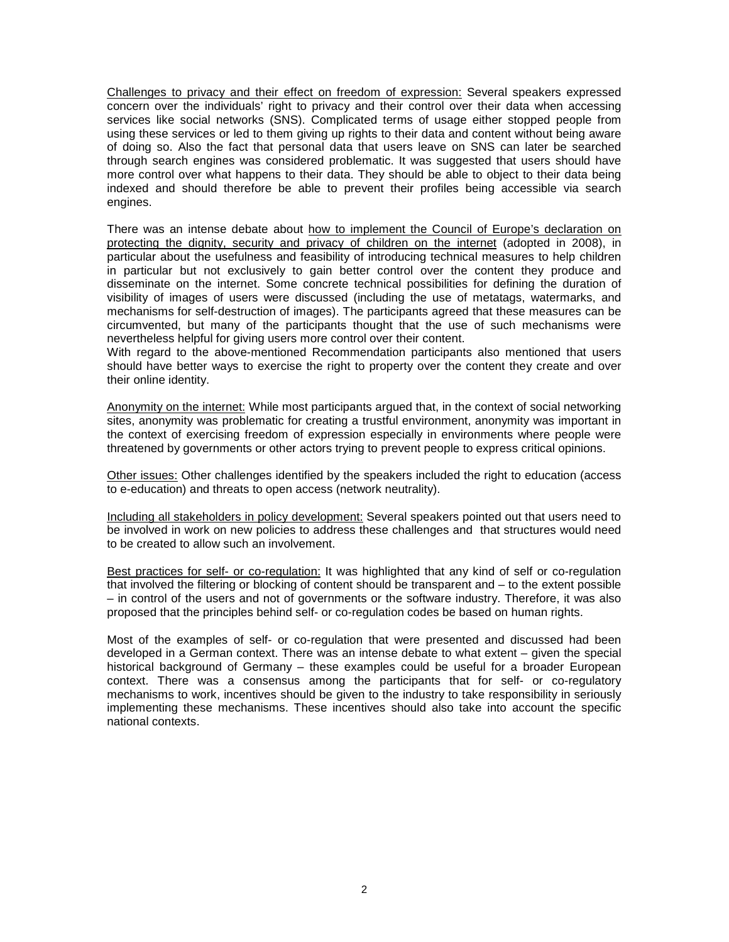Challenges to privacy and their effect on freedom of expression: Several speakers expressed concern over the individuals' right to privacy and their control over their data when accessing services like social networks (SNS). Complicated terms of usage either stopped people from using these services or led to them giving up rights to their data and content without being aware of doing so. Also the fact that personal data that users leave on SNS can later be searched through search engines was considered problematic. It was suggested that users should have more control over what happens to their data. They should be able to object to their data being indexed and should therefore be able to prevent their profiles being accessible via search engines.

There was an intense debate about how to implement the Council of Europe's declaration on protecting the dignity, security and privacy of children on the internet (adopted in 2008), in particular about the usefulness and feasibility of introducing technical measures to help children in particular but not exclusively to gain better control over the content they produce and disseminate on the internet. Some concrete technical possibilities for defining the duration of visibility of images of users were discussed (including the use of metatags, watermarks, and mechanisms for self-destruction of images). The participants agreed that these measures can be circumvented, but many of the participants thought that the use of such mechanisms were nevertheless helpful for giving users more control over their content.

With regard to the above-mentioned Recommendation participants also mentioned that users should have better ways to exercise the right to property over the content they create and over their online identity.

Anonymity on the internet: While most participants argued that, in the context of social networking sites, anonymity was problematic for creating a trustful environment, anonymity was important in the context of exercising freedom of expression especially in environments where people were threatened by governments or other actors trying to prevent people to express critical opinions.

Other issues: Other challenges identified by the speakers included the right to education (access to e-education) and threats to open access (network neutrality).

Including all stakeholders in policy development: Several speakers pointed out that users need to be involved in work on new policies to address these challenges and that structures would need to be created to allow such an involvement.

Best practices for self- or co-regulation: It was highlighted that any kind of self or co-regulation that involved the filtering or blocking of content should be transparent and – to the extent possible – in control of the users and not of governments or the software industry. Therefore, it was also proposed that the principles behind self- or co-regulation codes be based on human rights.

Most of the examples of self- or co-regulation that were presented and discussed had been developed in a German context. There was an intense debate to what extent – given the special historical background of Germany – these examples could be useful for a broader European context. There was a consensus among the participants that for self- or co-regulatory mechanisms to work, incentives should be given to the industry to take responsibility in seriously implementing these mechanisms. These incentives should also take into account the specific national contexts.